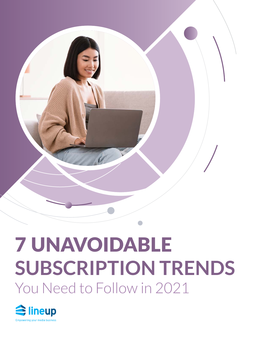

# 7 UNAVOIDABLE **SUBSCRIPTION TRENDS** You Need to Follow in 2021

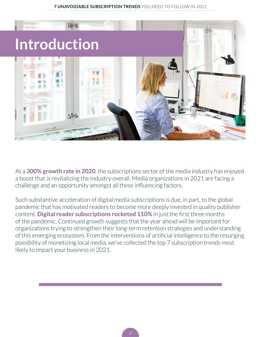

At a **[300% growth rate in 2020](https://whatsnewinpublishing.com/300-growth-in-subscriptions-for-digital-news-and-media-time-for-publishers-to-reassess-their-business-models/)**, the subscriptions sector of the media industry has enjoyed a boost that is revitalizing the industry overall. Media organizations in 2021 are facing a challenge and an opportunity amongst all these influencing factors.

Such substantive acceleration of digital media subscriptions is due, in part, to the global pandemic that has motivated readers to become more deeply invested in quality publisher content. **[Digital reader subscriptions rocketed 110%](https://whatsnewinpublishing.com/digital-news-and-media-subscriptions-grow-110-in-3-months-whats-next-for-publishers/)** in just the first three months of the pandemic. Continued growth suggests that the year ahead will be important for organizations trying to strengthen their long-term retention strategies and understanding of this emerging ecosystem. From the interventions of artificial intelligence to the resurging possibility of monetizing local media, we've collected the top 7 subscription trends most likely to impact your business in 2021.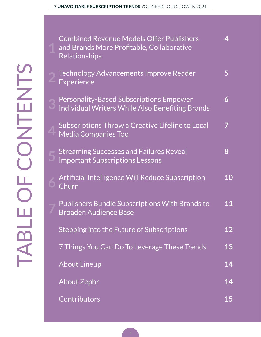| I   |
|-----|
|     |
|     |
|     |
| I   |
|     |
|     |
|     |
|     |
|     |
|     |
|     |
|     |
|     |
|     |
| ı   |
|     |
|     |
| l   |
|     |
| a a |

**4**

**5**

| <b>Combined Revenue Models Offer Publishers</b><br>and Brands More Profitable, Collaborative<br><b>Relationships</b> | 4         |
|----------------------------------------------------------------------------------------------------------------------|-----------|
| <b>Technology Advancements Improve Reader</b><br>Experience                                                          | 5         |
| <b>Personality-Based Subscriptions Empower</b><br>Individual Writers While Also Benefiting Brands                    | 6         |
| Subscriptions Throw a Creative Lifeline to Local<br><b>Media Companies Too</b>                                       |           |
| <b>Streaming Successes and Failures Reveal</b><br><b>Important Subscriptions Lessons</b>                             | 8         |
| <b>Artificial Intelligence Will Reduce Subscription</b><br>Churn                                                     | 10        |
| Publishers Bundle Subscriptions With Brands to<br><b>Broaden Audience Base</b>                                       | 11        |
| Stepping into the Future of Subscriptions                                                                            | <b>12</b> |
| 7 Things You Can Do To Leverage These Trends                                                                         | 13        |
| <b>About Lineup</b>                                                                                                  | 14        |
| <b>About Zephr</b>                                                                                                   | 14        |
| Contributors                                                                                                         | <b>15</b> |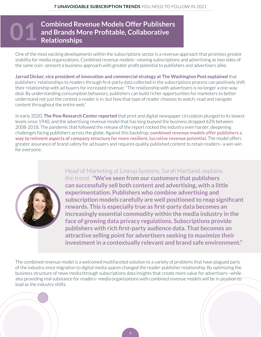### <span id="page-3-0"></span>**Combined Revenue Models Offer Publishers and Brands More Profitable, Collaborative 01 Relationships**

One of the most exciting developments within the subscriptions sector is a revenue approach that promises greater stability for media organizations. Combined revenue models--viewing subscriptions and advertising as two sides of the same coin--present a business approach with greater profit potential to publishers and advertisers alike.

**[Jarrod Dicker, vice president of innovation and commercial strategy at The Washington Post explained](https://www.washingtonpost.com/pr/2020/11/03/jarrod-dicker-brand-publisher-relationship-is-not-just-about-context-its-also-about-consumption/)** that publishers' relationships to readers through first-party data collected in the subscriptions process can positively shift their relationship with ad buyers for increased revenue: "The relationship with advertisers is no longer a one-way deal. By understanding consumption behaviors, publishers can build richer opportunities for marketers to better understand not just the context a reader is in, but how that type of reader chooses to watch, read and navigate content throughout the entire web."

In early 2020, **[The Pew Research Center reported](https://www.pewresearch.org/fact-tank/2020/02/14/fast-facts-about-the-newspaper-industrys-financial-struggles/)** that print and digital newspaper circulation plunged to its lowest levels since 1940, and the advertising revenue model that has long buoyed the business dropped 62% between 2008-2018. The pandemic that followed the release of the report rocked the industry even harder, deepening challenges facing publishers across the globe. Against this backdrop, **combined revenue models offer publishers a way to reinvent aspects of company structure for more resilient, lucrative revenue potential.** The model offers greater assurance of brand safety for ad buyers and requires quality published content to retain readers--a win-win for everyone.



[Head of Marketing at Lineup Systems, Sarah Hartland, explains](https://digitalcontentnext.org/blog/2020/06/15/the-case-for-combined-revenue-models/)  [the trend:](https://digitalcontentnext.org/blog/2020/06/15/the-case-for-combined-revenue-models/) **"We've seen from our customers that publishers can successfully sell both content and advertising, with a little experimentation. Publishers who combine advertising and subscription models carefully are well positioned to reap significant rewards. This is especially true as first-party data becomes an increasingly essential commodity within the media industry in the face of growing data privacy regulations. Subscriptions provide publishers with rich first-party audience data. That becomes an attractive selling point for advertisers seeking to maximize their investment in a contextually relevant and brand safe environment."**

The combined revenue model is a welcomed multifaceted solution to a variety of problems that have plagued parts of the industry since migration to digital media spaces changed the reader-publisher relationship. By optimizing the business structure of news media through subscriptions data insights that create more value for advertisers--while also providing real substance for readers--media organizations with combined revenue models will be in position to lead as the industry shifts.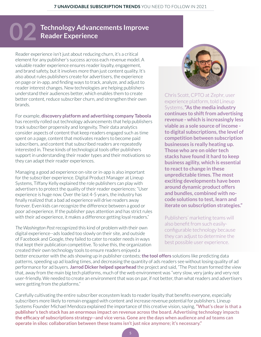## <span id="page-4-0"></span>**Technology Advancements Improve 02 Reader Experience**

Reader experience isn't just about reducing churn, it's a critical element for any publisher's success across each revenue model. A valuable reader experience ensures reader loyalty, engagement, and brand safety, but it involves more than just content quality. It's also about rules publishers create for advertisers, the experience on page or in-app, and finding ways to track, analyze, and adjust to reader interest changes. New technologies are helping publishers understand their audiences better, which enables them to create better content, reduce subscriber churn, and strengthen their own brands.

For example, **[discovery platform and advertising company Taboola](https://www.prnewswire.com/news-releases/taboola-upgrades-newsroom-offering-to-help-publishers-drive-significantly-more-subscriptions-initial-results-include-a-30-percent-increase-in-subscribers-301170950.html)**  has recently rolled out technology advancements that help publishers track subscriber propensity and longevity. Their data analytics consider aspects of content that keep readers engaged such as time spent on a page, content that motivates readers to become paid subscribers, and content that subscribed readers are repeatedly interested in. These kinds of technological tools offer publishers support in understanding their reader types and their motivations so they can adapt their reader experiences.

Managing a good ad experience on-site or in-app is also important for the subscriber experience. Digital Product Manager at Lineup Systems, Tiffany Kelly explained the role publishers can play with advertisers to protect the quality of their reader experiences: "User experience is huge now. Over the last 4-5 years, the industry has finally realized that a bad ad experience will drive readers away forever. Even kids can recognize the difference between a good or poor ad experience. If the publisher pays attention and has strict rules with their ad experience, it makes a difference getting loyal readers."

*The Washington Post* recognized this kind of problem with their own digital experience--ads loaded too slowly on their site, and outside of Facebook and Google, they failed to cater to reader needs in ways that kept their publication competitive. To solve this, the organization created their own technology tools to ensure readers enjoyed a



Chris Scott, CPTO at Zephr, user experience platform, told Lineup Systems, **"As the media industry continues to shift from advertising revenue - which is increasingly less viable as a sole source of income to digital subscriptions, the level of competition between subscription businesses is really heating up. Those who are on older tech stacks have found it hard to keep business agility, which is essential to react to change in these unpredictable times. The most exciting developments have been around dynamic product offers and bundles, combined with nocode solutions to test, learn and iterate on subscription strategies."** 

Publishers' marketing teams will also benefit from such easilyconfigurable technology because they can adjust to determine the best possible user experience.

better encounter with the ads showing up in publisher contexts; **[the tool offers](https://www.zeustechnology.com/#:~:text=Zeus%20Technology%20is%20a%20media,unsurpassed%20ad%20viewability%20and%20performance.)** solutions like predicting data patterns, speeding up ad loading times, and decreasing the quantity of ads readers see without losing quality of ad performance for ad buyers. **[Jarrod Dicker helped spearhead](https://www.pressgazette.co.uk/how-jeff-bezos-washington-post-is-taking-on-google-and-facebook-with-insanely-unique-ad-technology-for-publishers/)** the project and said, "The Post team formed the view that, away from the main big tech platforms, much of the web environment was "very slow, very janky and very not user-friendly. We needed to create an environment that was on par, if not better, than what readers and advertisers were getting from the platforms."

Carefully cultivating the entire subscriber ecosystem leads to reader loyalty that benefits everyone, especially subscribers more likely to remain engaged with content and increase revenue potential for publishers. Lineup Systems Founder Michael Mendoza explained the importance of this creative vision, saying, **"What's clear is that a publisher's tech stack has an enormous impact on revenue across the board. Advertising technology impacts the efficacy of subscriptions strategy--and vice versa. Gone are the days when audience and ad teams can operate in silos: collaboration between these teams isn't just nice anymore; it's necessary."**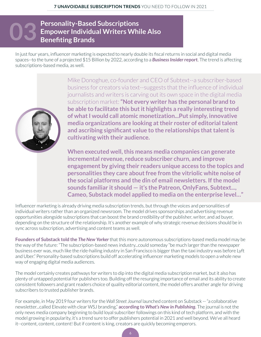### <span id="page-5-0"></span>**Personality-Based Subscriptions Empower Individual Writers While Also 03 Benefiting Brands**

In just four years, influencer marketing is expected to nearly double its fiscal returns in social and digital media spaces--to the tune of a projected \$15 Billion by 2022, according to a *[Business Insider](https://www.businessinsider.com/influencer-marketing-report#:~:text=The%20influencer%20marketing%20industry%20is,estimates%2C%20based%20on%20Mediakix%20data.)* **report**. The trend is affecting subscriptions-based media, as well.



[Mike Donoghue,](https://www.google.com/url?q=https://www.poynter.org/business-work/2020/more-media-companies-will-bet-on-themselves-in-2021/&sa=D&source=editors&ust=1612895991965000&usg=AOvVaw2Lw6EqLBpRHhHoUmAxqRn2) co-founder and CEO of Subtext--a subscriber-based business for creators via text--suggests that the influence of individual journalists and writers is carving out its own space in the digital media subscription market: **"Not every writer has the personal brand to be able to facilitate this but it highlights a really interesting trend of what I would call atomic monetization...Put simply, innovative media organizations are looking at their roster of editorial talent and ascribing significant value to the relationships that talent is cultivating with their audience.** 

**When executed well, this means media companies can generate incremental revenue, reduce subscriber churn, and improve engagement by giving their readers unique access to the topics and personalities they care about free from the vitriolic white noise of the social platforms and the din of email newsletters. If the model sounds familiar it should — it's the Patreon, OnlyFans, Subtext..., Cameo, Substack model applied to media on the enterprise level…"** 

Influencer marketing is already driving media subscription trends, but through the voices and personalities of individual writers rather than an organized newsroom. The model drives sponsorships and advertising revenue opportunities alongside subscriptions that can boost the brand credibility of the publisher, writer, and ad buyer, depending on the structure of the relationship. It's another example of why strategic revenue decisions should be in sync across subscription, advertising and content teams as well.

**[Founders of Substack told the](https://www.newyorker.com/magazine/2021/01/04/is-substack-the-media-future-we-want)** *The New Yorker* that this more autonomous subscriptions-based media model may be the way of the future: "The subscription-based news industry...could someday "be much larger than the newspaper business ever was, much like the ride-hailing industry in San Francisco is bigger than the taxi industry was before Lyft and Uber." Personality-based subscriptions build off accelerating influencer marketing models to open a whole new way of engaging digital media audiences.

The model certainly creates pathways for writers to dip into the digital media subscription market, but it also has plenty of untapped potential for publishers too. Building off the resurging importance of email and its ability to create consistent followers and grant readers choice of quality editorial content, the model offers another angle for driving subscribers to trusted publisher brands.

For example, in May 2019 four writers for the *Wall Street Journal* launched content on Substack -- "a collaborative newsletter...called Elevate with clear WSJ branding," **according to** *[What's New in Publishing](https://whatsnewinpublishing.com/we-are-witnessing-the-emergence-of-a-new-media-economy-newsletters-are-opening-new-avenues-of-growth-for-publishers/)***.** The journal is not the only news media company beginning to build loyal subscriber followings on this kind of tech platform, and with the model growing in popularity, it's a trend sure to offer publishers potential in 2021 and well beyond. We've all heard it--content, content, content! But if content is king, creators are quickly becoming emperors.

6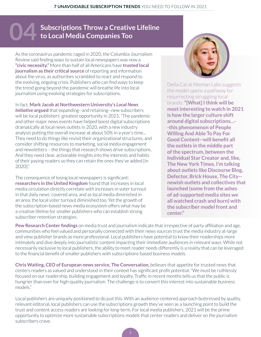## <span id="page-6-0"></span>**Subscriptions Throw a Creative Lifeline to Local Media Companies Too**

As the coronavirus pandemic raged in 2020, the Columbia Journalism Review said finding ways to sustain local newspapers was now a **["civic necessity."](https://www.cjr.org/business_of_news/reviving-democracy-requires-reviving-local-journalism.php)** More than half of all Americans have **[trusted local](https://www.pewresearch.org/fact-tank/2020/07/02/local-news-is-playing-an-important-role-for-americans-during-covid-19-outbreak/)  journalism as their critical source** of reporting and information about the virus, as authorities scrambled to react and respond to the evolving, ongoing crisis. Publishers who can find ways to keep the trend going beyond the pandemic will breathe life into local journalism using evolving strategies for subscriptions.

#### In fact, **[Mark Jacob at Northwestern University's](https://localnewsinitiative.northwestern.edu/posts/2020/12/16/digital-subscriptions/index.html)** *Local News*

**[Initiative](https://localnewsinitiative.northwestern.edu/posts/2020/12/16/digital-subscriptions/index.html) argued** that expanding--and retaining--new subscribers will be local publishers' greatest opportunity in 2021. "The pandemic and other major news events have helped boost digital subscriptions dramatically at local news outlets in 2020, with a new industry analysis putting the overall increase at about 50% in a year's time... They need to do things like revisit their organizational structures, and consider shifting resources to marketing, social media engagement and newsletters – the things that research shows drive subscriptions. And they need clear, actionable insights into the interests and habits of their paying readers so they can retain the ones they've added [in 2020]."

The consequence of losing local newspapers is significant; **[researchers in the United Kingdom](https://www.pressgazette.co.uk/uk-gov-report-finds-direct-link-between-local-newspaper-circulation-and-voter-turnout-absence-of-journalism-in-some-areas-potentially-catastrophic/)** found that increases in local media circulation directly correlate with increases in voter turnout in that daily news' covered area, and as local media diminished in an area, the local voter turnout diminished too. Yet the growth of the subscription-based news media ecosystem offers what may be a creative lifeline for smaller publishers who can establish strong subscriber retention strategies.



[Delia Cai at Nieman Labs](https://www.google.com/url?q=https://www.niemanlab.org/2020/12/subscriptions-start-working-for-the-middle/&sa=D&source=editors&ust=1612896184743000&usg=AOvVaw27WGUJyZx0rQMrjNyfb5jw) suggests the model opens a pathway for resurrecting struggling local brands: **"[What] I think will be most interesting to watch in 2021 is how the larger culture shift around digital subscriptions…- -this phenomenon of People Willing And Able To Pay For Good Content--will benefit all the outlets in the middle part of the spectrum, between the Individual Star Creator and, like, The New York Times. I'm talking about outlets like Discourse Blog, Defector, Brick House, The City- newish outlets and collectives that launched (some from the ashes of ad-supported media sites we all watched crash and burn) with the subscriber model front and center."**

**[Pew Research Center findings](https://www.journalism.org/2020/08/31/americans-who-have-a-closer-relationship-with-their-news-sources-are-more-supportive-of-the-news-media-overall/)** on media trust and journalism indicate that irrespective of party affiliation and age, communities who feel valued and personally connected with their news sources trust the media industry at-large and view publisher brands as more professional. Local publishers have potential to know their readerships more intimately and dive deeply into journalistic content impacting their immediate audiences in relevant ways. While not necessarily exclusive to local publishers, the ability to meet reader needs differently is a reality that can be leveraged to the financial benefit of smaller publishers with subscriptions-based business models.

**[Chris Waiting, CEO of European news service, The Conversation,](https://whatsnewinpublishing.com/we-must-be-ruthlessly-focused-on-our-readership-how-publishers-are-growing-subscribers-with-audience-focused-strategies/)** believes that appetite for trusted news that centers readers as valued and understood in their context has significant profit potential: "We must be ruthlessly focused on our readership, building engagement and loyalty. Traffic in recent months tells us that the public is hungrier than ever for high-quality journalism. The challenge is to convert this interest into sustainable business models."

Local publishers are uniquely positioned to do just this. With an audience-centered approach buttressed by quality, relevant editorial, local publishers can use the subscriptions growth they've seen as a launching point to build the trust and content access readers are looking for long-term. For local media publishers, 2021 will be the prime opportunity to optimize more sustainable subscriptions models that center readers and deliver on the journalism subscribers crave.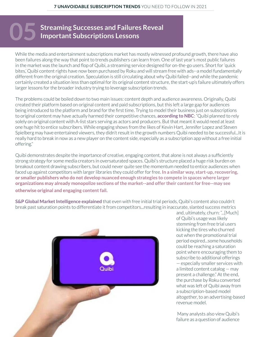# <span id="page-7-0"></span>**Streaming Successes and Failures Reveal Important Subscriptions Lessons**

While the media and entertainment subscriptions market has mostly witnessed profound growth, there have also been failures along the way that point to trends publishers can learn from. One of last year's most public failures in the market was the launch and flop of Quibi, a streaming service designed for on-the-go users. Short for 'quick bites,' Quibi content rights have now been purchased by Roku and will stream free with ads--a model fundamentally different from the original creation. Speculation is still circulating about why Quibi failed--and while the pandemic certainly created a situation less than optimal for its original content structure, the start-up's failure ultimately offers larger lessons for the broader industry trying to leverage subscription trends.

The problems could be boiled down to two main issues: content depth and audience awareness. Originally, Quibi created their platform based on original content and paid subscriptions, but this left a large gap for audiences being introduced to the platform and brand for the first time. Trying to model their business just on subscriptions to original content may have actually harmed their competitive chances, **[according to NBC](https://www.nbcnews.com/business/business-news/look-why-quibi-failed-so-soon-after-launching-n1244312)**: "Quibi planned to rely solely on original content with A-list stars serving as actors and producers. But that meant it would need at least one huge hit to entice subscribers. While engaging shows from the likes of Kevin Hart, Jennifer Lopez and Steven Spielberg may have entertained viewers, they didn't result in the growth numbers Quibi needed to be successful...It is really hard to break in now as a new player on the content side, especially as a subscription app without a free initial offering."

Quibi demonstrates despite the importance of creative, engaging content, that alone is not always a sufficiently strong strategy for some media creators in oversaturated spaces. Quibi's structure placed a huge risk burden on breakout content drawing subscribers, but could never quite see the momentum needed to entice audiences when faced up against competitors with larger libraries they could offer for free. **In a similar way, start-up, recovering, or smaller publishers who do not develop nuanced enough strategies to compete in spaces where larger organizations may already monopolize sections of the market--and offer their content for free--may see otherwise original and engaging content fail.** 

**[S&P Global Market Intelligence explained](https://www.spglobal.com/marketintelligence/en/news-insights/blog/charter-directv-and-comcast-rank-as-the-top-rsn-friendly-mvpds-kagan)** that even with free initial trial periods, Quibi's content also couldn't break past saturation points to differentiate it from competitors...resulting in inaccurate, slanted success metrics



and, ultimately, churn: "...[Much] of Quibi's usage was likely stemming from free trial users kicking the tires who churned out when the promotional trial period expired...some households could be reaching a saturation point where encouraging them to subscribe to additional offerings — especially smaller services with a limited content catalog — may present a challenge." At the end, the purchase by Roku converted what was left of Quibi away from a subscription-based model altogether, to an advertising-based revenue model.

 Many analysts also view Quibi's failure as a question of audience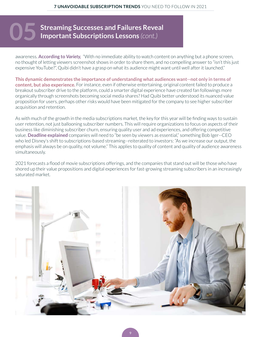# **Streaming Successes and Failures Reveal Important Subscriptions Lessons (cont.)**

awareness. **[According to](https://variety.com/2020/tv/news/quibi-canceled-shows-1234813479/)** *Variety,* "With no immediate ability to watch content on anything but a phone screen, no thought of letting viewers screenshot shows in order to share them, and no compelling answer to "isn't this just expensive YouTube?", Quibi didn't have a grasp on what its audience might want until well after it launched."

**This dynamic demonstrates the importance of understanding what audiences want--not only in terms of content, but also experience.** For instance, even if otherwise entertaining, original content failed to produce a breakout subscriber drive to the platform, could a smarter digital experience have created fan followings more organically through screenshots becoming social media shares? Had Quibi better understood its nuanced value proposition for users, perhaps other risks would have been mitigated for the company to see higher subscriber acquisition and retention.

As with much of the growth in the media subscriptions market, the key for this year will be finding ways to sustain user retention, not just ballooning subscriber numbers. This will require organizations to focus on aspects of their business like diminishing subscriber churn, ensuring quality user and ad experiences, and offering competitive value. **[Deadline explained](https://deadline.com/2021/01/streaming-2021-outlook-disney-hbo-max-peacock-apple-netflix-1234662348/)** companies will need to "be seen by viewers as essential," something Bob Iger--CEO who led Disney's shift to subscriptions-based streaming--reiterated to investors: "As we increase our output, the emphasis will always be on quality, not volume." This applies to quality of content and quality of audience awareness simultaneously.

2021 forecasts a flood of movie subscriptions offerings, and the companies that stand out will be those who have shored up their value propositions and digital experiences for fast-growing streaming subscribers in an increasingly saturated market.

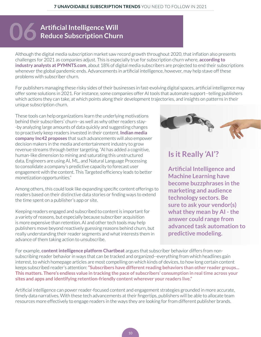# <span id="page-9-0"></span>**Artificial Intelligence Will 06 Reduce Subscription Churn**

Although the digital media subscription market saw record growth throughout 2020, that inflation also presents challenges for 2021 as companies adjust. This is especially true for subscription churn where, **[according to](https://www.pymnts.com/subscription-commerce/2020/subscriptions-growing-despite-threat-of-downstream-churn/)  [industry analysts at PYMNTS.com](https://www.pymnts.com/subscription-commerce/2020/subscriptions-growing-despite-threat-of-downstream-churn/)**, about 18% of digital media subscribers are projected to end their subscriptions whenever the global pandemic ends. Advancements in artificial intelligence, however, may help stave off these problems with subscriber churn.

For publishers managing these risky sides of their businesses in fast-evolving digital spaces, artificial intelligence may offer some solutions in 2021. For instance, some companies offer AI tools that automate support--telling publishers which actions they can take, at which points along their development trajectories, and insights on patterns in their unique subscription churn.

These tools can help organizations learn the underlying motivations behind their subscribers' churn--as well as why other readers stay- -by analyzing large amounts of data quickly and suggesting changes to proactively keep readers invested in their content. **[Indian media](https://inc42.com/resources/digital-trends-underpinning-media-and-entertainment-in-2020-21/)  [company Inc42 proposes](https://inc42.com/resources/digital-trends-underpinning-media-and-entertainment-in-2020-21/)** that such advancements will also empower decision makers in the media and entertainment industry to grow revenue streams through better targeting. "AI has added a cognitive, human-like dimension to mining and saturating this unstructured data. Engineers are using AI, ML, and Natural Language Processing to consolidate a company's predictive capacity to forecast user engagement with the content. This Targeted efficiency leads to better monetization opportunities."

Among others, this could look like expanding specific content offerings to readers based on their distinctive data stories or finding ways to extend the time spent on a publisher's app or site.

Keeping readers engaged and subscribed to content is important for a variety of reasons, but especially because subscriber acquisition is more expensive than retention. AI and other tech tools may help publishers move beyond reactively guessing reasons behind churn, but really understanding their reader segments and what interests them in advance of them taking action to unsubscribe.



### **Is it Really 'AI'?**

**Artificial Intelligence and Machine Learning have become buzzphrases in the marketing and audience technology sectors. Be sure to ask your vendor(s) what they mean by AI - the answer could range from advanced task automation to predictive modeling.** 

For example, **[content intelligence platform Chartbeat](https://blog.chartbeat.com/2019/03/20/subscriber-analytics-enhanced-for-publishers/)** argues that subscriber behavior differs from nonsubscribing reader behavior in ways that can be tracked and organized--everything from which headlines gain interest, to which homepage articles are most compelling on which kinds of devices, to how long certain content keeps subscribed reader's attention: **"Subscribers have different reading behaviors than other reader groups... This matters. There's endless value in tracking the pace of subscribers' consumption in real time across your sites and apps and identifying retention-friendly content wherever your readers live."**

Artificial intelligence can power reader-focused content and engagement strategies grounded in more accurate, timely data narratives. With these tech advancements at their fingertips, publishers will be able to allocate team resources more effectively to engage readers in the ways they are looking for from different publisher brands.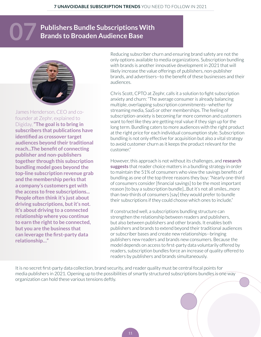## <span id="page-10-0"></span>**Publishers Bundle Subscriptions With 07 Brands to Broaden Audience Base**



[James Henderson, CEO and co](https://digiday.com/media/news-publishers-are-eagerly-bundling-their-subscriptions-with-brands/)[founder at Zephr, explained to](https://digiday.com/media/news-publishers-are-eagerly-bundling-their-subscriptions-with-brands/)  [Digiday,](https://digiday.com/media/news-publishers-are-eagerly-bundling-their-subscriptions-with-brands/) **"The goal is to bring in subscribers that publications have identified as crossover target audiences beyond their traditional reach...The benefit of connecting publisher and non-publishers together through this subscription bundling model goes beyond the top-line subscription revenue grab and the membership perks that a company's customers get with the access to free subscriptions... People often think it's just about driving subscriptions, but it's not. It's about driving to a connected relationship where you continue to earn the right to be connected, but you are the business that can leverage the first-party data relationship…"**

Reducing subscriber churn and ensuring brand safety are not the only options available to media organizations. Subscription bundling with brands is another innovative development in 2021 that will likely increase the value offerings of publishers, non-publisher brands, and advertisers--to the benefit of these businesses and their audiences.

Chris Scott, CPTO at Zephr, calls it a solution to fight subscription anxiety and churn: "The average consumer is already balancing multiple, overlapping subscription commitments--whether for streaming media, SaaS or other memberships. The feeling of subscription-anxiety is becoming far more common and customers want to feel like they are getting real value if they sign up for the long term. Bundling caters to more audiences with the right product at the right price for each individual consumption style. Subscription bundling is not only effective for acquisition but also a vital strategy to avoid customer churn as it keeps the product relevant for the customer."

However, this approach is not without its challenges, and **[research](https://www.pymnts.com/subscription-commerce/2020/getting-subscription-bundles-right-for-minimum-churn/)  [suggests](https://www.pymnts.com/subscription-commerce/2020/getting-subscription-bundles-right-for-minimum-churn/)** that reader choice matters in a bundling strategy in order to maintain the 51% of consumers who view the savings benefits of bundling as one of the top three reasons they buy: "Nearly one-third of consumers consider [financial savings] to be the most important reason [to buy a subscription bundle]...But it's not all smiles...more than two-thirds of consumers [say] they would prefer to bundle their subscriptions if they could choose which ones to include."

If constructed well, a subscriptions bundling structure can strengthen the relationship between readers and publishers, but also between publishers and other brands. It enables both publishers and brands to extend beyond their traditional audiences or subscriber bases and create new relationships--bringing publishers new readers and brands new consumers. Because the model depends on access to first-party data voluntarily offered by readers, subscription bundles force an increase of quality offered to readers by publishers and brands simultaneously.

It is no secret first-party data collection, brand security, and reader quality must be central focal points for media publishers in 2021. Opening up to the possibilities of smartly structured subscriptions bundles is one way organization can hold these various tensions deftly.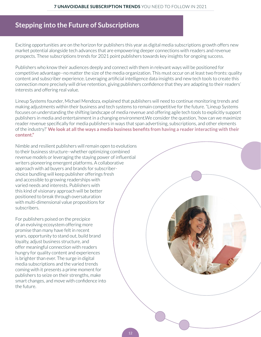### <span id="page-11-0"></span>**Stepping into the Future of Subscriptions**

Exciting opportunities are on the horizon for publishers this year as digital media subscriptions growth offers new market potential alongside tech advances that are empowering deeper connections with readers and revenue prospects. These subscriptions trends for 2021 point publishers towards key insights for ongoing success.

Publishers who know their audiences deeply and connect with them in relevant ways will be positioned for competitive advantage--no matter the size of the media organization. This must occur on at least two fronts: quality content and subscriber experience. Leveraging artificial intelligence data insights and new tech tools to create this connection more precisely will drive retention, giving publishers confidence that they are adapting to their readers' interests and offering real value.

Lineup Systems founder, Michael Mendoza, explained that publishers will need to continue monitoring trends and making adjustments within their business and tech systems to remain competitive for the future. "Lineup Systems focuses on understanding the shifting landscape of media revenue and offering agile tech tools to explicitly support publishers in media and entertainment in a changing environment.We consider the question, 'how can we maximize reader revenue specifically for media publishers in ways that span advertising, subscriptions, and other elements of the industry?' **We look at all the ways a media business benefits from having a reader interacting with their content."**

Nimble and resilient publishers will remain open to evolutions to their business structure--whether optimizing combined revenue models or leveraging the staying power of influential writers pioneering emergent platforms. A collaborative approach with ad buyers and brands for subscriberchoice bundling will keep publisher offerings fresh and accessible to growing readerships with varied needs and interests. Publishers with this kind of visionary approach will be better positioned to break through oversaturation with multi-dimensional value propositions for subscribers.

For publishers poised on the precipice of an evolving ecosystem offering more promise than many have felt in recent years, opportunity to stand out, build brand loyalty, adjust business structure, and offer meaningful connection with readers hungry for quality content and experiences is brighter than ever. The surge in digital media subscriptions and the varied trends coming with it presents a prime moment for publishers to seize on their strengths, make smart changes, and move with confidence into the future.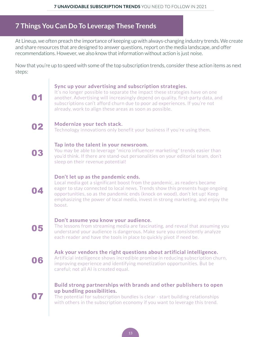### <span id="page-12-0"></span>**7 Things You Can Do To Leverage These Trends**

At Lineup, we often preach the importance of keeping up with always-changing industry trends. We create and share resources that are designed to answer questions, report on the media landscape, and offer recommendations. However, we also know that information without action is just noise.

Now that you're up to speed with some of the top subscription trends, consider these action items as next steps:

#### **Sync up your advertising and subscription strategies.**

It's no longer possible to separate the impact these strategies have on one another. Advertising will increasingly depend on quality, first-party data, and subscriptions can't afford churn due to poor ad experiences. If you're not already, work to align these areas as soon as possible.

### **02** Modernize your tech stack.

Technology innovations only benefit your business if you're using them.

#### **Tap into the talent in your newsroom.**

You may be able to leverage "micro influencer marketing" trends easier than you'd think. If there are stand-out personalities on your editorial team, don't sleep on their revenue potential!

#### **Don't let up as the pandemic ends.**

Local media got a significant boost from the pandemic, as readers became eager to stay connected to local news. Trends show this presents huge ongoing opportunities, so as the pandemic ends (knock on wood), don't let up! Keep emphasizing the power of local media, invest in strong marketing, and enjoy the boost.

### 05

04

01

03

#### **Don't assume you know your audience.**

The lessons from streaming media are fascinating, and reveal that assuming you understand your audience is dangerous. Make sure you consistently analyze each reader and have the tools in place to quickly pivot if need be.

### 06

07

#### **Ask your vendors the right questions about artificial intelligence.**

Artificial intelligence shows incredible promise in reducing subscription churn, improving experience and identifying monetization opportunities. But be careful; not all AI is created equal.

#### **Build strong partnerships with brands and other publishers to open up bundling possibilities.**

The potential for subscription bundles is clear - start building relationships with others in the subscription economy if you want to leverage this trend.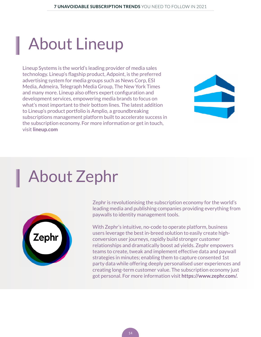# <span id="page-13-0"></span>About Lineup

Lineup Systems is the world's leading provider of media sales technology. Lineup's flagship product, Adpoint, is the preferred advertising system for media groups such as News Corp, ESI Media, Admeira, Telegraph Media Group, The New York Times and many more. Lineup also offers expert configuration and development services, empowering media brands to focus on what's most important to their bottom lines. The latest addition to Lineup's product portfolio is Amplio, a groundbreaking subscriptions management platform built to accelerate success in the subscription economy. For more information or get in touch, visit **[lineup.com](http://www.lineup.com)**



## About Zephr



Zephr is revolutionising the subscription economy for the world's leading media and publishing companies providing everything from paywalls to identity management tools.

With Zephr's intuitive, no-code to operate platform, business users leverage the best in-breed solution to easily create highconversion user journeys, rapidly build stronger customer relationships and dramatically boost ad yields. Zephr empowers teams to create, tweak and implement effective data and paywall strategies in minutes; enabling them to capture consented 1st party data while offering deeply personalised user experiences and creating long-term customer value. The subscription economy just got personal. For more information visit **[https://www.zephr.com/.](https://www.zephr.com/)**